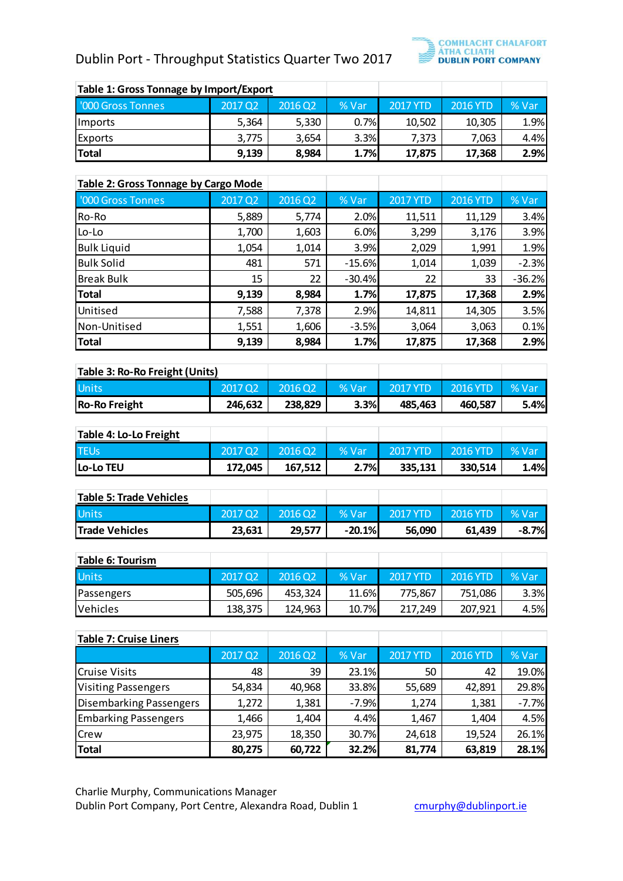## Dublin Port - Throughput Statistics Quarter Two 2017



| Table 1: Gross Tonnage by Import/Export |         |         |       |                 |          |       |
|-----------------------------------------|---------|---------|-------|-----------------|----------|-------|
| '000 Gross Tonnes                       | 2017 Q2 | 2016 Q2 | % Var | <b>2017 YTD</b> | 2016 YTD | % Var |
| Imports                                 | 5,364   | 5,330   | 0.7%  | 10,502          | 10,305   | 1.9%  |
| Exports                                 | 3,775   | 3,654   | 3.3%  | 7.373           | 7,063    | 4.4%  |
| Total                                   | 9,139   | 8,984   | 1.7%  | 17.875          | 17,368   | 2.9%  |

| '000 Gross Tonnes<br>Imports<br>Exports<br><b>Total</b><br><b>Table 2: Gross Tonnage by Cargo Mode</b><br>'000 Gross Tonnes<br>Ro-Ro | 2017 Q2<br>5,364<br>3,775<br>9,139 | 2016 Q2<br>5,330<br>3,654<br>8,984 | % Var<br>0.7%<br>3.3%<br>1.7% | <b>2017 YTD</b><br>10,502<br>7,373 | <b>2016 YTD</b><br>10,305<br>7,063 | % Var<br>1.9%<br>4.4% |
|--------------------------------------------------------------------------------------------------------------------------------------|------------------------------------|------------------------------------|-------------------------------|------------------------------------|------------------------------------|-----------------------|
|                                                                                                                                      |                                    |                                    |                               |                                    |                                    |                       |
|                                                                                                                                      |                                    |                                    |                               |                                    |                                    |                       |
|                                                                                                                                      |                                    |                                    |                               |                                    |                                    |                       |
|                                                                                                                                      |                                    |                                    |                               | 17,875                             | 17,368                             | 2.9%                  |
|                                                                                                                                      |                                    |                                    |                               |                                    |                                    |                       |
|                                                                                                                                      |                                    |                                    |                               |                                    |                                    |                       |
|                                                                                                                                      | 2017 Q2                            | 2016 Q2                            | % Var                         | <b>2017 YTD</b>                    | <b>2016 YTD</b>                    | % Var                 |
|                                                                                                                                      | 5,889                              | 5,774                              | 2.0%                          | 11,511                             | 11,129                             | 3.4%                  |
| Lo-Lo                                                                                                                                | 1,700                              | 1,603                              | 6.0%                          | 3,299                              | 3,176                              | 3.9%                  |
| <b>Bulk Liquid</b>                                                                                                                   | 1,054                              | 1,014                              | 3.9%                          | 2,029                              | 1,991                              | 1.9%                  |
| <b>Bulk Solid</b>                                                                                                                    | 481                                | 571                                | $-15.6%$                      | 1,014                              | 1,039                              | $-2.3%$               |
| <b>Break Bulk</b>                                                                                                                    | 15                                 | 22                                 | $-30.4%$                      | 22                                 | 33                                 | $-36.2%$              |
| <b>Total</b>                                                                                                                         | 9,139                              | 8,984                              | 1.7%                          | 17,875                             | 17,368                             | 2.9%                  |
| Unitised                                                                                                                             | 7,588                              | 7,378                              | 2.9%                          | 14,811                             | 14,305                             | 3.5%                  |
| Non-Unitised                                                                                                                         | 1,551                              | 1,606                              | $-3.5%$                       | 3,064                              | 3,063                              | 0.1%                  |
| <b>Total</b>                                                                                                                         | 9,139                              | 8,984                              | 1.7%                          | 17,875                             | 17,368                             | 2.9%                  |
|                                                                                                                                      |                                    |                                    |                               |                                    |                                    |                       |
| Table 3: Ro-Ro Freight (Units)                                                                                                       |                                    |                                    |                               |                                    |                                    |                       |
| Units                                                                                                                                | 2017 Q2                            | 2016 Q2                            | % Var                         | <b>2017 YTD</b>                    | <b>2016 YTD</b>                    | % Var                 |
| <b>Ro-Ro Freight</b>                                                                                                                 | 246,632                            | 238,829                            | 3.3%                          | 485,463                            | 460,587                            | 5.4%                  |
|                                                                                                                                      |                                    |                                    |                               |                                    |                                    |                       |
| Table 4: Lo-Lo Freight                                                                                                               |                                    |                                    |                               |                                    |                                    |                       |
| <b>TEUs</b>                                                                                                                          | 2017 Q2                            | 2016 Q2                            | % Var                         | <b>2017 YTD</b>                    | <b>2016 YTD</b>                    | % Var                 |
| Lo-Lo TEU                                                                                                                            | 172,045                            | 167,512                            | 2.7%                          | 335,131                            | 330,514                            | 1.4%                  |
|                                                                                                                                      |                                    |                                    |                               |                                    |                                    |                       |
| <b>Table 5: Trade Vehicles</b>                                                                                                       |                                    |                                    |                               |                                    |                                    |                       |
| Units                                                                                                                                | 2017 Q2                            | 2016 Q2                            | % Var                         | <b>2017 YTD</b>                    | <b>2016 YTD</b>                    | % Var                 |
| <b>Trade Vehicles</b>                                                                                                                | 23,631                             | 29,577                             | $-20.1%$                      | 56,090                             | 61,439                             | $-8.7%$               |
|                                                                                                                                      |                                    |                                    |                               |                                    |                                    |                       |
| Table 6: Tourism                                                                                                                     |                                    |                                    |                               |                                    |                                    |                       |
| Units                                                                                                                                | 2017 Q2                            | $2016$ Q <sub>2</sub>              | % Var                         | <b>2017 YTD</b>                    | <b>2016 YTD</b>                    | % Var                 |
| Passengers                                                                                                                           | 505,696                            | 453,324                            | 11.6%                         | 775,867                            | 751,086                            | 3.3%                  |
| Vehicles                                                                                                                             | 138,375                            | 124,963                            | 10.7%                         | 217,249                            | 207,921                            | 4.5%                  |
|                                                                                                                                      |                                    |                                    |                               |                                    |                                    |                       |
| <b>Table 7: Cruise Liners</b>                                                                                                        | 2017 Q2                            | 2016 Q2                            |                               | <b>2017 YTD</b>                    | <b>2016 YTD</b>                    | % Var                 |
|                                                                                                                                      |                                    |                                    | % Var                         |                                    |                                    |                       |
| <b>Cruise Visits</b>                                                                                                                 | 48                                 | 39                                 | 23.1%                         | 50                                 | 42                                 | 19.0%                 |
| <b>Visiting Passengers</b>                                                                                                           | 54,834                             | 40,968                             | 33.8%                         | 55,689                             | 42,891                             | 29.8%                 |
| <b>Disembarking Passengers</b>                                                                                                       | 1,272                              | 1,381                              | $-7.9%$                       | 1,274                              | 1,381                              | $-7.7%$               |
| <b>Embarking Passengers</b>                                                                                                          | 1,466                              | 1,404                              | 4.4%                          | 1,467                              | 1,404                              | 4.5%                  |
| Crew                                                                                                                                 | 23,975                             | 18,350                             | 30.7%                         | 24,618                             | 19,524                             | 26.1%                 |
| <b>Total</b>                                                                                                                         | 80,275                             | 60,722                             | 32.2%                         | 81,774                             | 63,819                             | 28.1%                 |

| Table 3: Ro-Ro Freight (Units) |         |         |       |          |          |       |
|--------------------------------|---------|---------|-------|----------|----------|-------|
| <b>Units</b>                   | 2017 02 | 2016 02 | % Var | 2017 YTD | 2016 YTD | % Var |
| <b>Ro-Ro Freight</b>           | 246.632 | 238.829 | 3.3%  | 485.463  | 460.587  | 5.4%  |

| Table 4: Lo-Lo Freight |                     |         |       |          |            |              |
|------------------------|---------------------|---------|-------|----------|------------|--------------|
| <b>TEUs</b>            | 2017 Q <sub>2</sub> | 2016Q2  | % Var | 2017 YTD | $2016$ YTD | <b>% Var</b> |
| <b>Lo-Lo TEU</b>       | 172.045             | 167.512 | 2.7%  | 335,131  | 330.514    | 1.4%         |

| Table 5: Trade Vehicles |        |         |           |                 |                 |                        |
|-------------------------|--------|---------|-----------|-----------------|-----------------|------------------------|
| <b>Units</b>            | 201702 | 2016 02 | % Vari    | $\sim$ 2017 YTD | $\sim$ 2016 YTD | $\sqrt{\% \text{Var}}$ |
| <b>Trade Vehicles</b>   | 23,631 | 29.577  | $-20.1\%$ | 56.090          | 61.439          | $-8.7\%$               |

| Table 6: Tourism |                     |         |         |          |          |       |
|------------------|---------------------|---------|---------|----------|----------|-------|
| <b>Units</b>     | 2017 Q <sub>2</sub> | 2016 02 | $%$ Var | 2017 YTD | 2016 YTD | % Var |
| Passengers       | 505,696             | 453.324 | 11.6%   | 775.867  | 751,086  | 3.3%  |
| <b>Vehicles</b>  | 138,375             | 124.963 | 10.7%   | 217.249  | 207,921  | 4.5%  |

| <b>Table 7: Cruise Liners</b> |         |         |         |                 |                 |         |
|-------------------------------|---------|---------|---------|-----------------|-----------------|---------|
|                               | 2017 Q2 | 2016 Q2 | % Var   | <b>2017 YTD</b> | <b>2016 YTD</b> | % Var   |
| <b>Cruise Visits</b>          | 48      | 39      | 23.1%   | 50              | 42              | 19.0%   |
| <b>Visiting Passengers</b>    | 54,834  | 40,968  | 33.8%   | 55,689          | 42,891          | 29.8%   |
| Disembarking Passengers       | 1,272   | 1,381   | $-7.9%$ | 1,274           | 1,381           | $-7.7%$ |
| <b>Embarking Passengers</b>   | 1,466   | 1,404   | 4.4%    | 1,467           | 1,404           | 4.5%    |
| <b>Crew</b>                   | 23,975  | 18,350  | 30.7%   | 24,618          | 19,524          | 26.1%   |
| <b>Total</b>                  | 80,275  | 60,722  | 32.2%   | 81,774          | 63,819          | 28.1%   |